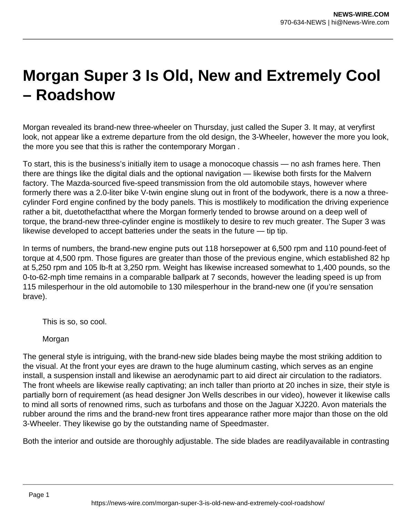## **Morgan Super 3 Is Old, New and Extremely Cool – Roadshow**

Morgan revealed its brand-new three-wheeler on Thursday, just called the Super 3. It may, at veryfirst look, not appear like a extreme departure from the old design, the 3-Wheeler, however the more you look, the more you see that this is rather the contemporary Morgan .

To start, this is the business's initially item to usage a monocoque chassis — no ash frames here. Then there are things like the digital dials and the optional navigation — likewise both firsts for the Malvern factory. The Mazda-sourced five-speed transmission from the old automobile stays, however where formerly there was a 2.0-liter bike V-twin engine slung out in front of the bodywork, there is a now a threecylinder Ford engine confined by the body panels. This is mostlikely to modification the driving experience rather a bit, duetothefactthat where the Morgan formerly tended to browse around on a deep well of torque, the brand-new three-cylinder engine is mostlikely to desire to rev much greater. The Super 3 was likewise developed to accept batteries under the seats in the future — tip tip.

In terms of numbers, the brand-new engine puts out 118 horsepower at 6,500 rpm and 110 pound-feet of torque at 4,500 rpm. Those figures are greater than those of the previous engine, which established 82 hp at 5,250 rpm and 105 lb-ft at 3,250 rpm. Weight has likewise increased somewhat to 1,400 pounds, so the 0-to-62-mph time remains in a comparable ballpark at 7 seconds, however the leading speed is up from 115 milesperhour in the old automobile to 130 milesperhour in the brand-new one (if you're sensation brave).

This is so, so cool.

Morgan

The general style is intriguing, with the brand-new side blades being maybe the most striking addition to the visual. At the front your eyes are drawn to the huge aluminum casting, which serves as an engine install, a suspension install and likewise an aerodynamic part to aid direct air circulation to the radiators. The front wheels are likewise really captivating; an inch taller than priorto at 20 inches in size, their style is partially born of requirement (as head designer Jon Wells describes in our video), however it likewise calls to mind all sorts of renowned rims, such as turbofans and those on the Jaguar XJ220. Avon materials the rubber around the rims and the brand-new front tires appearance rather more major than those on the old 3-Wheeler. They likewise go by the outstanding name of Speedmaster.

Both the interior and outside are thoroughly adjustable. The side blades are readilyavailable in contrasting